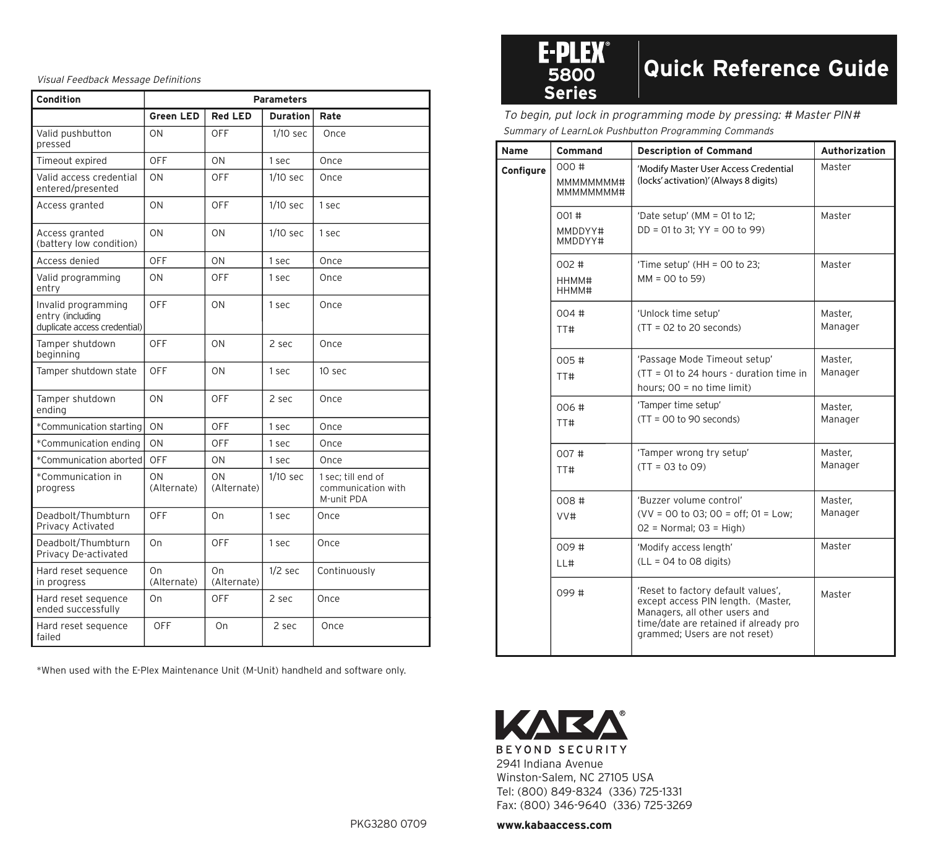Visual Feedback Message Definitions

| Condition                                                                        |                   |                   | <b>Parameters</b> |                                                        |                                                                                                            | <b>Series</b>          |
|----------------------------------------------------------------------------------|-------------------|-------------------|-------------------|--------------------------------------------------------|------------------------------------------------------------------------------------------------------------|------------------------|
|                                                                                  | Green LED         | <b>Red LED</b>    | <b>Duration</b>   | Rate                                                   |                                                                                                            | To begin, put lock     |
| Valid pushbutton<br>pressed                                                      | ON                | OFF               | $1/10$ sec        | Once                                                   | Summary of LearnLo                                                                                         |                        |
| Timeout expired                                                                  | OFF               | ON                | 1 sec             | Once                                                   | Name                                                                                                       | Comman<br>000#         |
| Valid access credential<br>entered/presented                                     | ON                | OFF               | $1/10$ sec        | Once                                                   | Configure                                                                                                  | MMMMM<br><b>MMMMMI</b> |
| Access granted                                                                   | ON                | <b>OFF</b>        | $1/10$ sec        | 1 sec                                                  |                                                                                                            | 001#                   |
| Access granted<br>(battery low condition)                                        | ON                | ON                | $1/10$ sec        | 1 sec                                                  |                                                                                                            | MMDDYY<br>MMDDYY       |
| Access denied                                                                    | OFF               | ON                | 1 sec             | Once                                                   |                                                                                                            | 002#                   |
| Valid programming<br>entry                                                       | ON                | OFF               | 1 sec             | Once                                                   |                                                                                                            | HHMM#<br>HHMM#         |
| Invalid programming<br>entry (including<br>duplicate access credential)          | OFF               | ON                | 1 sec             | Once                                                   |                                                                                                            | 004#<br>TT#            |
| Tamper shutdown<br>beginning                                                     | OFF               | ON                | 2 sec             | Once                                                   |                                                                                                            | 005#                   |
| Tamper shutdown state                                                            | OFF               | ON                | 1 sec             | 10 sec                                                 |                                                                                                            | TT#                    |
| Tamper shutdown<br>ending                                                        | ON                | OFF               | 2 sec             | Once                                                   |                                                                                                            | 006#                   |
| *Communication starting                                                          | ON                | OFF               | 1 sec             | Once                                                   |                                                                                                            | TT#                    |
| *Communication ending                                                            | ON                | OFF               | 1 sec             | Once                                                   |                                                                                                            |                        |
| *Communication aborted                                                           | OFF               | ON                | 1 sec             | Once                                                   |                                                                                                            | 007#                   |
| *Communication in<br>progress                                                    | ON<br>(Alternate) | ON<br>(Alternate) | $1/10$ sec        | 1 sec; till end of<br>communication with<br>M-unit PDA |                                                                                                            | TT#<br>008 #           |
| Deadbolt/Thumbturn<br>Privacy Activated                                          | OFF               | On                | 1 sec             | Once                                                   |                                                                                                            | VV#                    |
| Deadbolt/Thumbturn<br>Privacy De-activated                                       | On                | OFF               | 1 sec             | Once                                                   |                                                                                                            | 009#                   |
| Hard reset sequence<br>in progress                                               | On<br>(Alternate) | On<br>(Alternate) | $1/2$ sec         | Continuously                                           |                                                                                                            | LL#                    |
| Hard reset sequence<br>ended successfully                                        | On                | OFF               | 2 sec             | Once                                                   |                                                                                                            | 099#                   |
| Hard reset sequence<br>failed                                                    | OFF               | On                | 2 sec             | Once                                                   |                                                                                                            |                        |
| *When used with the E-Plex Maintenance Unit (M-Unit) handheld and software only. |                   |                   |                   |                                                        | KAE<br>BEYOND SECUI<br>2941 Indiana Avenu<br>Winston-Salem, NC<br>Tel: (800) 849-832<br>Fax: (800) 346-964 | ₹.                     |
|                                                                                  |                   |                   |                   | PKG3280 0709                                           | www.kabaaccess.c                                                                                           |                        |

## **<sup>5800</sup> Quick Reference Guide**

Summary of LearnLok Pushbutton Programming Commands To begin, put lock in programming mode by pressing: # Master PIN #

| Name      | Command                      | <b>Description of Command</b>                                                                                                                                                       | Authorization      |
|-----------|------------------------------|-------------------------------------------------------------------------------------------------------------------------------------------------------------------------------------|--------------------|
| Configure | 000#<br>MMMMMMM#<br>MMMMMMM# | 'Modify Master User Access Credential<br>(locks' activation)' (Always 8 digits)                                                                                                     | Master             |
|           | 001#<br>MMDDYY#<br>MMDDYY#   | 'Date setup' (MM = 01 to 12;<br>DD = 01 to 31; YY = 00 to 99)                                                                                                                       | Master             |
|           | 002#<br>HHMM#<br>HHMM#       | 'Time setup' (HH = $00$ to 23;<br>$MM = 00$ to 59)                                                                                                                                  | Master             |
|           | 004#<br>TT#                  | 'Unlock time setup'<br>$(TT = 02$ to 20 seconds)                                                                                                                                    | Master.<br>Manager |
|           | 005#<br>TT#                  | 'Passage Mode Timeout setup'<br>$(TT = 01$ to 24 hours - duration time in<br>hours; 00 = no time limit)                                                                             | Master.<br>Manager |
|           | 006#<br>TT#                  | 'Tamper time setup'<br>$(TT = 00$ to 90 seconds)                                                                                                                                    | Master.<br>Manager |
|           | 007#<br>TT#                  | 'Tamper wrong try setup'<br>$(TT = 03$ to 09)                                                                                                                                       | Master,<br>Manager |
|           | 008#<br>VV#                  | 'Buzzer volume control'<br>$(VV = 00$ to 03; 00 = off; 01 = Low;<br>$02$ = Normal; $03$ = High)                                                                                     | Master.<br>Manager |
|           | 009#<br>L1#                  | 'Modify access length'<br>$(LL = 04$ to 08 digits)                                                                                                                                  | Master             |
|           | 099#                         | 'Reset to factory default values',<br>except access PIN length. (Master,<br>Managers, all other users and<br>time/date are retained if already pro<br>grammed; Users are not reset) | Master             |



2941 Indiana Avenue Winston-Salem, NC 27105 USA Tel: (800) 849-8324 (336) 725-1331 Fax: (800) 346-9640 (336) 725-3269

**www.kabaaccess.com**